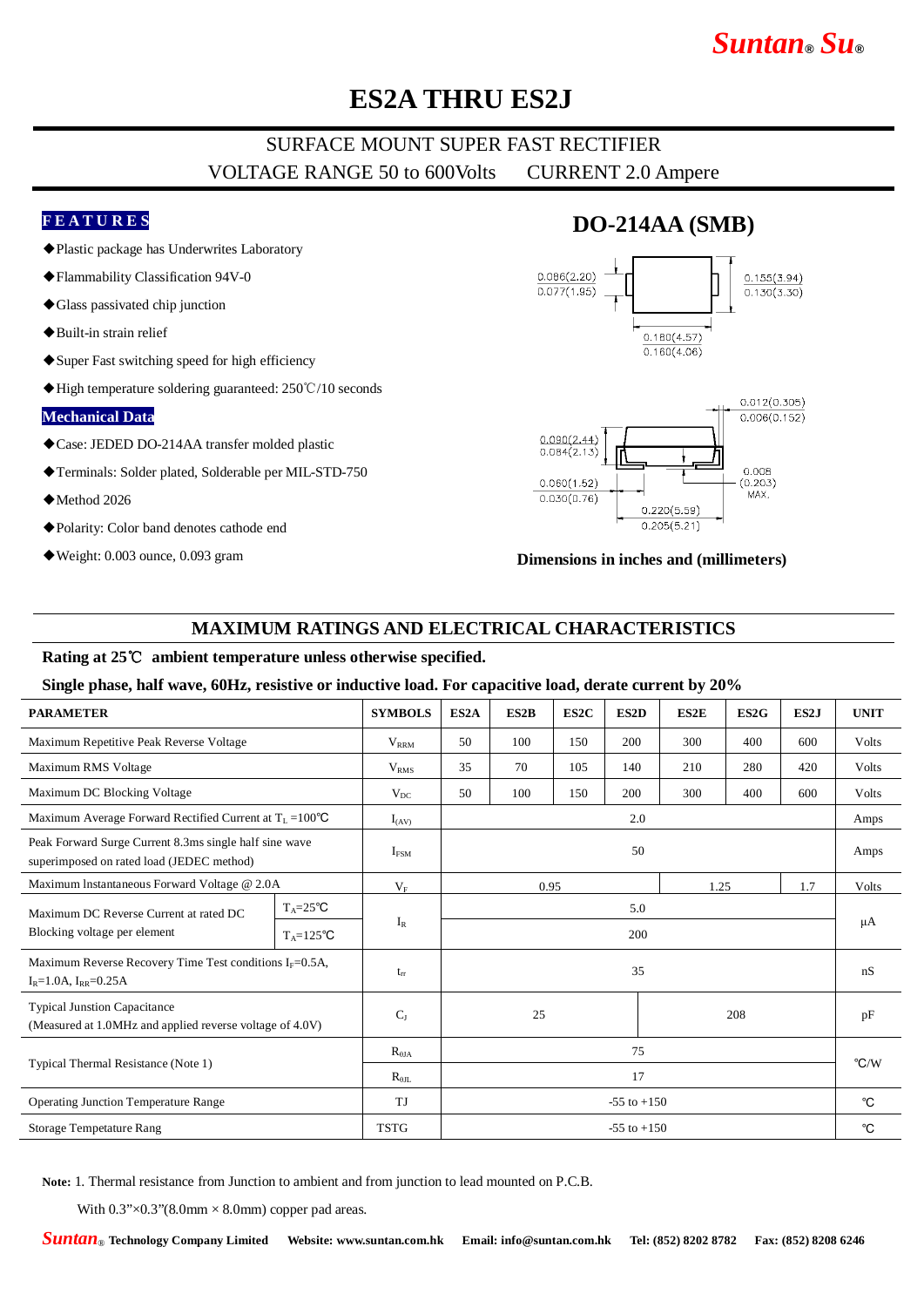# *Suntan***®** *Su***®**

## **ES2A THRU ES2J**

## SURFACE MOUNT SUPER FAST RECTIFIER VOLTAGE RANGE 50 to 600Volts CURRENT 2.0 Ampere

### **F E A T U R E S**

- ◆Plastic package has Underwrites Laboratory
- ◆Flammability Classification 94V-0
- ◆Glass passivated chip junction
- ◆Built-in strain relief
- ◆Super Fast switching speed for high efficiency
- ◆High temperature soldering guaranteed: 250℃/10 seconds

#### **Mechanical Data**

- ◆Case: JEDED DO-214AA transfer molded plastic
- ◆Terminals: Solder plated, Solderable per MIL-STD-750
- ◆Method 2026
- ◆Polarity: Color band denotes cathode end
- ◆Weight: 0.003 ounce, 0.093 gram

## **DO-214AA (SMB)**





#### **Dimensions in inches and (millimeters)**

### **MAXIMUM RATINGS AND ELECTRICAL CHARACTERISTICS**

#### **Rating at 25**℃ **ambient temperature unless otherwise specified.**

#### **Single phase, half wave, 60Hz, resistive or inductive load. For capacitive load, derate current by 20%**

| <b>PARAMETER</b>                                                                                    |                     | <b>SYMBOLS</b>   | ES <sub>2</sub> A   | ES2B | ES2C | ES2D | ES2E | ES2G  | ES2J | <b>UNIT</b>   |
|-----------------------------------------------------------------------------------------------------|---------------------|------------------|---------------------|------|------|------|------|-------|------|---------------|
| Maximum Repetitive Peak Reverse Voltage                                                             |                     | $V_{RRM}$        | 50                  | 100  | 150  | 200  | 300  | 400   | 600  | Volts         |
| Maximum RMS Voltage                                                                                 |                     | V <sub>RMS</sub> | 35                  | 70   | 105  | 140  | 210  | 280   | 420  | Volts         |
| Maximum DC Blocking Voltage                                                                         |                     | $V_{DC}$         | 50                  | 100  | 150  | 200  | 300  | 400   | 600  | Volts         |
| Maximum Average Forward Rectified Current at $T_L = 100^{\circ}C$                                   |                     | $I_{(AV)}$       | 2.0                 |      |      |      |      |       |      | Amps          |
| Peak Forward Surge Current 8.3ms single half sine wave<br>superimposed on rated load (JEDEC method) |                     | $I_{FSM}$        | 50                  |      |      |      |      |       |      | Amps          |
| Maximum Instantaneous Forward Voltage @ 2.0A                                                        |                     | $V_F$            | 0.95<br>1.25<br>1.7 |      |      |      |      | Volts |      |               |
| Maximum DC Reverse Current at rated DC<br>Blocking voltage per element                              | $T_A = 25^{\circ}C$ | $I_R$            | 5.0                 |      |      |      |      |       |      | μA            |
|                                                                                                     | $T_A = 125$ °C      |                  | 200                 |      |      |      |      |       |      |               |
| Maximum Reverse Recovery Time Test conditions $I_F = 0.5A$ ,<br>$I_R = 1.0A$ , $I_{RR} = 0.25A$     |                     | $t_{rr}$         | 35                  |      |      |      |      |       |      | nS            |
| <b>Typical Junstion Capacitance</b><br>(Measured at 1.0MHz and applied reverse voltage of 4.0V)     |                     | $C_{I}$          | 25<br>208           |      |      |      |      |       | pF   |               |
| Typical Thermal Resistance (Note 1)                                                                 |                     | $R_{\theta I A}$ | 75                  |      |      |      |      |       |      | $\degree$ C/W |
|                                                                                                     |                     | $R_{\theta IL}$  | 17                  |      |      |      |      |       |      |               |
| <b>Operating Junction Temperature Range</b>                                                         |                     | TJ               | $-55$ to $+150$     |      |      |      |      |       |      | $^{\circ}C$   |
| <b>Storage Tempetature Rang</b>                                                                     |                     | <b>TSTG</b>      | $-55$ to $+150$     |      |      |      |      |       |      | °C            |

**Note:** 1. Thermal resistance from Junction to ambient and from junction to lead mounted on P.C.B.

With  $0.3$ " $\times$  $0.3$ " $(8.0$ mm  $\times$  8.0mm) copper pad areas.